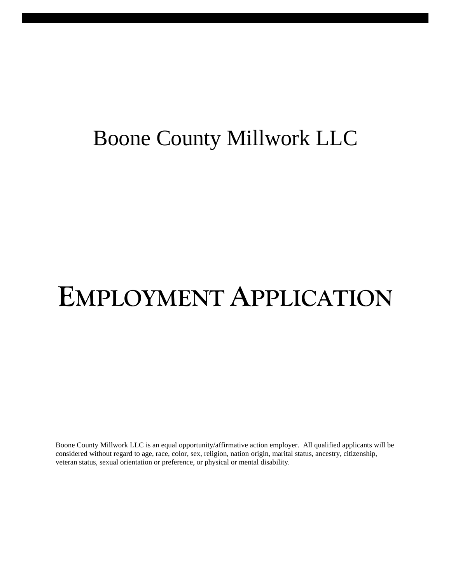## Boone County Millwork LLC

# **EMPLOYMENT APPLICATION**

Boone County Millwork LLC is an equal opportunity/affirmative action employer. All qualified applicants will be considered without regard to age, race, color, sex, religion, nation origin, marital status, ancestry, citizenship, veteran status, sexual orientation or preference, or physical or mental disability.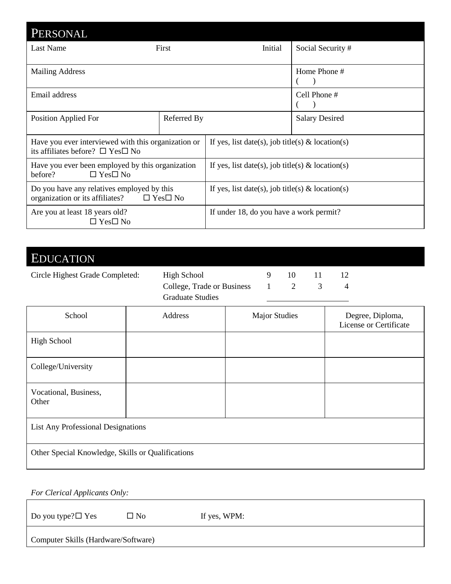| PERSONAL                                                                                                 |              |                                                     |                       |
|----------------------------------------------------------------------------------------------------------|--------------|-----------------------------------------------------|-----------------------|
| Last Name                                                                                                | <b>First</b> | Initial                                             | Social Security#      |
| <b>Mailing Address</b>                                                                                   |              |                                                     | Home Phone $#$        |
| Email address                                                                                            |              |                                                     | Cell Phone #          |
| Position Applied For                                                                                     | Referred By  |                                                     | <b>Salary Desired</b> |
| Have you ever interviewed with this organization or<br>its affiliates before? $\square$ Yes $\square$ No |              | If yes, list date(s), job title(s) & location(s)    |                       |
| Have you ever been employed by this organization<br>$\Box$ Yes $\Box$ No<br>before?                      |              | If yes, list date(s), job title(s) $\&$ location(s) |                       |
| Do you have any relatives employed by this<br>organization or its affiliates? $\Box$ Yes $\Box$ No       |              | If yes, list date(s), job title(s) & location(s)    |                       |
| Are you at least 18 years old?<br>$\Box$ Yes $\Box$ No                                                   |              | If under 18, do you have a work permit?             |                       |

## EDUCATION

| Circle Highest Grade Completed: | High School                      |  |  |
|---------------------------------|----------------------------------|--|--|
|                                 | College, Trade or Business 1 2 3 |  |  |
|                                 | <b>Graduate Studies</b>          |  |  |

| School                                            | Address | <b>Major Studies</b> | Degree, Diploma,<br>License or Certificate |  |
|---------------------------------------------------|---------|----------------------|--------------------------------------------|--|
| <b>High School</b>                                |         |                      |                                            |  |
| College/University                                |         |                      |                                            |  |
| Vocational, Business,<br>Other                    |         |                      |                                            |  |
| <b>List Any Professional Designations</b>         |         |                      |                                            |  |
| Other Special Knowledge, Skills or Qualifications |         |                      |                                            |  |

| <b>For Clerical Applicants Only:</b> |              |              |
|--------------------------------------|--------------|--------------|
| Do you type? $\square$ Yes           | $\square$ No | If yes, WPM: |
| Computer Skills (Hardware/Software)  |              |              |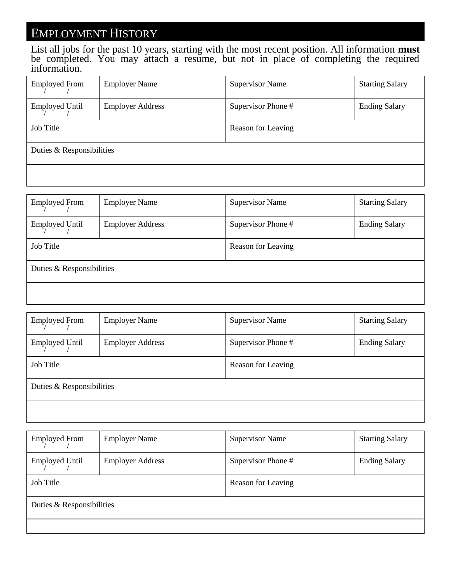### EMPLOYMENT HISTORY

List all jobs for the past 10 years, starting with the most recent position. All information **must** be completed. You may attach a resume, but not in place of completing the required information.

| <b>Employed From</b>      | <b>Employer Name</b>    | <b>Supervisor Name</b> | <b>Starting Salary</b> |
|---------------------------|-------------------------|------------------------|------------------------|
| <b>Employed Until</b>     | <b>Employer Address</b> | Supervisor Phone #     | <b>Ending Salary</b>   |
| Job Title                 |                         | Reason for Leaving     |                        |
| Duties & Responsibilities |                         |                        |                        |
|                           |                         |                        |                        |

| <b>Employed From</b>      | <b>Employer Name</b>    | <b>Supervisor Name</b> | <b>Starting Salary</b> |
|---------------------------|-------------------------|------------------------|------------------------|
| <b>Employed Until</b>     | <b>Employer Address</b> | Supervisor Phone #     | <b>Ending Salary</b>   |
| Job Title                 |                         | Reason for Leaving     |                        |
| Duties & Responsibilities |                         |                        |                        |
|                           |                         |                        |                        |

| <b>Employed From</b>      | <b>Employer Name</b>    | <b>Supervisor Name</b> | <b>Starting Salary</b> |
|---------------------------|-------------------------|------------------------|------------------------|
| <b>Employed Until</b>     | <b>Employer Address</b> | Supervisor Phone #     | <b>Ending Salary</b>   |
| Job Title                 |                         | Reason for Leaving     |                        |
| Duties & Responsibilities |                         |                        |                        |
|                           |                         |                        |                        |

| <b>Employed From</b>      | <b>Employer Name</b>    | <b>Supervisor Name</b> | <b>Starting Salary</b> |
|---------------------------|-------------------------|------------------------|------------------------|
| <b>Employed Until</b>     | <b>Employer Address</b> | Supervisor Phone #     | <b>Ending Salary</b>   |
| Job Title                 |                         | Reason for Leaving     |                        |
| Duties & Responsibilities |                         |                        |                        |
|                           |                         |                        |                        |